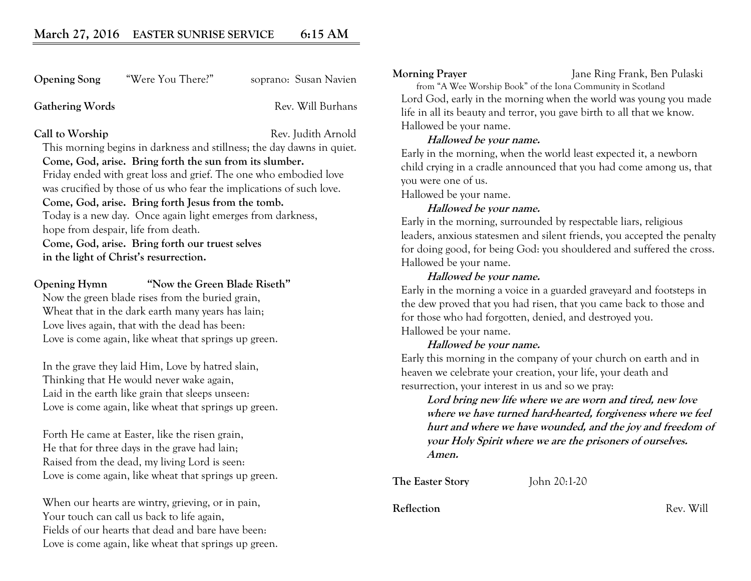# **March 27, 2016 EASTER SUNRISE SERVICE 6:15 AM**

| <b>Opening Song</b>    | "Were You There?"                                                    | soprano: Susan Navien                                                  |
|------------------------|----------------------------------------------------------------------|------------------------------------------------------------------------|
| <b>Gathering Words</b> |                                                                      | Rev. Will Burhans                                                      |
| Call to Worship        |                                                                      | Rev. Judith Arnold                                                     |
|                        |                                                                      | This morning begins in darkness and stillness; the day dawns in quiet. |
|                        | Come, God, arise. Bring forth the sun from its slumber.              |                                                                        |
|                        | Friday ended with great loss and grief. The one who embodied love    |                                                                        |
|                        | was crucified by those of us who fear the implications of such love. |                                                                        |
|                        | Come, God, arise. Bring forth Jesus from the tomb.                   |                                                                        |
|                        | Today is a new day. Once again light emerges from darkness,          |                                                                        |
|                        | hope from despair, life from death.                                  |                                                                        |
|                        | Come, God, arise. Bring forth our truest selves                      |                                                                        |

**in the light of Christ's resurrection.** 

**Opening Hymn "Now the Green Blade Riseth"**  Now the green blade rises from the buried grain, Wheat that in the dark earth many years has lain; Love lives again, that with the dead has been: Love is come again, like wheat that springs up green.

In the grave they laid Him, Love by hatred slain, Thinking that He would never wake again, Laid in the earth like grain that sleeps unseen: Love is come again, like wheat that springs up green.

Forth He came at Easter, like the risen grain, He that for three days in the grave had lain; Raised from the dead, my living Lord is seen: Love is come again, like wheat that springs up green.

When our hearts are wintry, grieving, or in pain, Your touch can call us back to life again, Fields of our hearts that dead and bare have been: Love is come again, like wheat that springs up green.

**Morning Prayer** Jane Ring Frank, Ben Pulaski

 from "A Wee Worship Book" of the Iona Community in Scotland Lord God, early in the morning when the world was young you made life in all its beauty and terror, you gave birth to all that we know. Hallowed be your name.

### **Hallowed be your name.**

Early in the morning, when the world least expected it, a newborn child crying in a cradle announced that you had come among us, that you were one of us.

Hallowed be your name.

### **Hallowed be your name.**

Early in the morning, surrounded by respectable liars, religious leaders, anxious statesmen and silent friends, you accepted the penalty for doing good, for being God: you shouldered and suffered the cross. Hallowed be your name.

### **Hallowed be your name.**

Early in the morning a voice in a guarded graveyard and footsteps in the dew proved that you had risen, that you came back to those and for those who had forgotten, denied, and destroyed you. Hallowed be your name.

# **Hallowed be your name.**

Early this morning in the company of your church on earth and in heaven we celebrate your creation, your life, your death and resurrection, your interest in us and so we pray:

**Lord bring new life where we are worn and tired, new love where we have turned hard-hearted, forgiveness where we feel hurt and where we have wounded, and the joy and freedom of your Holy Spirit where we are the prisoners of ourselves. Amen.**

**The Easter Story** John 20:1-20

**Reflection** Rev. Will